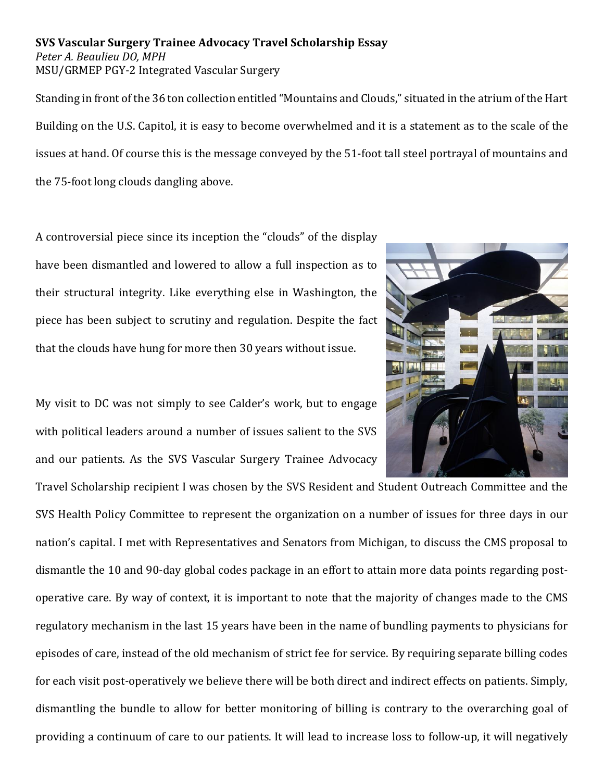**SVS Vascular Surgery Trainee Advocacy Travel Scholarship Essay** *Peter A. Beaulieu DO, MPH* MSU/GRMEP PGY-2 Integrated Vascular Surgery

Standing in front of the 36 ton collection entitled "Mountains and Clouds," situated in the atrium of the Hart Building on the U.S. Capitol, it is easy to become overwhelmed and it is a statement as to the scale of the issues at hand. Of course this is the message conveyed by the 51-foot tall steel portrayal of mountains and the 75-foot long clouds dangling above.

A controversial piece since its inception the "clouds" of the display have been dismantled and lowered to allow a full inspection as to their structural integrity. Like everything else in Washington, the piece has been subject to scrutiny and regulation. Despite the fact that the clouds have hung for more then 30 years without issue.

My visit to DC was not simply to see Calder's work, but to engage with political leaders around a number of issues salient to the SVS and our patients. As the SVS Vascular Surgery Trainee Advocacy

Travel Scholarship recipient I was chosen by the SVS Resident and Student Outreach Committee and the SVS Health Policy Committee to represent the organization on a number of issues for three days in our nation's capital. I met with Representatives and Senators from Michigan, to discuss the CMS proposal to dismantle the 10 and 90-day global codes package in an effort to attain more data points regarding postoperative care. By way of context, it is important to note that the majority of changes made to the CMS regulatory mechanism in the last 15 years have been in the name of bundling payments to physicians for episodes of care, instead of the old mechanism of strict fee for service. By requiring separate billing codes for each visit post-operatively we believe there will be both direct and indirect effects on patients. Simply, dismantling the bundle to allow for better monitoring of billing is contrary to the overarching goal of providing a continuum of care to our patients. It will lead to increase loss to follow-up, it will negatively